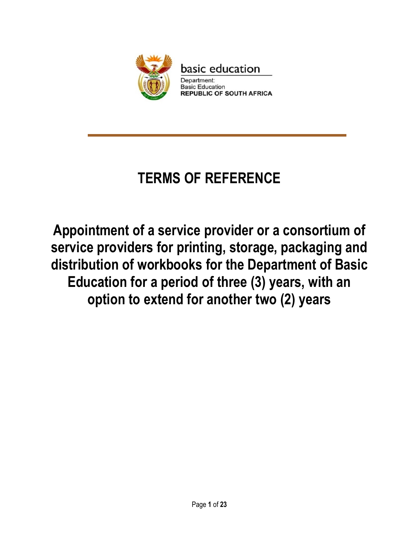

# **TERMS OF REFERENCE**

**Appointment of a service provider or a consortium of service providers for printing, storage, packaging and distribution of workbooks for the Department of Basic Education for a period of three (3) years, with an option to extend for another two (2) years** 

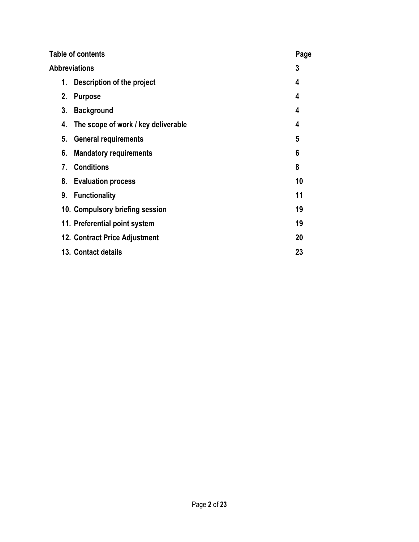| <b>Table of contents</b>                  | Page |  |  |  |
|-------------------------------------------|------|--|--|--|
| <b>Abbreviations</b>                      |      |  |  |  |
| 1. Description of the project             | 4    |  |  |  |
| 2.<br><b>Purpose</b>                      | 4    |  |  |  |
| 3.<br><b>Background</b>                   | 4    |  |  |  |
| The scope of work / key deliverable<br>4. | 4    |  |  |  |
| 5.<br><b>General requirements</b>         | 5    |  |  |  |
| <b>Mandatory requirements</b><br>6.       | 6    |  |  |  |
| 7. Conditions                             | 8    |  |  |  |
| 8. Evaluation process                     | 10   |  |  |  |
| 9. Functionality                          | 11   |  |  |  |
| 10. Compulsory briefing session           | 19   |  |  |  |
| 11. Preferential point system             | 19   |  |  |  |
| 12. Contract Price Adjustment             | 20   |  |  |  |
| 13. Contact details                       | 23   |  |  |  |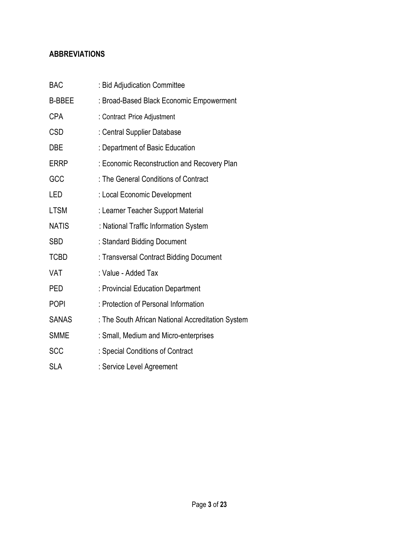# **ABBREVIATIONS**

| <b>BAC</b>    | : Bid Adjudication Committee                      |
|---------------|---------------------------------------------------|
| <b>B-BBEE</b> | : Broad-Based Black Economic Empowerment          |
| <b>CPA</b>    | : Contract Price Adjustment                       |
| <b>CSD</b>    | : Central Supplier Database                       |
| DBE           | : Department of Basic Education                   |
| <b>ERRP</b>   | : Economic Reconstruction and Recovery Plan       |
| GCC           | : The General Conditions of Contract              |
| LED           | : Local Economic Development                      |
| <b>LTSM</b>   | : Learner Teacher Support Material                |
| <b>NATIS</b>  | : National Traffic Information System             |
| <b>SBD</b>    | : Standard Bidding Document                       |
| <b>TCBD</b>   | : Transversal Contract Bidding Document           |
| VAT           | : Value - Added Tax                               |
| PED           | : Provincial Education Department                 |
| <b>POPI</b>   | : Protection of Personal Information              |
| <b>SANAS</b>  | : The South African National Accreditation System |
| <b>SMME</b>   | : Small, Medium and Micro-enterprises             |
| <b>SCC</b>    | : Special Conditions of Contract                  |
| <b>SLA</b>    | : Service Level Agreement                         |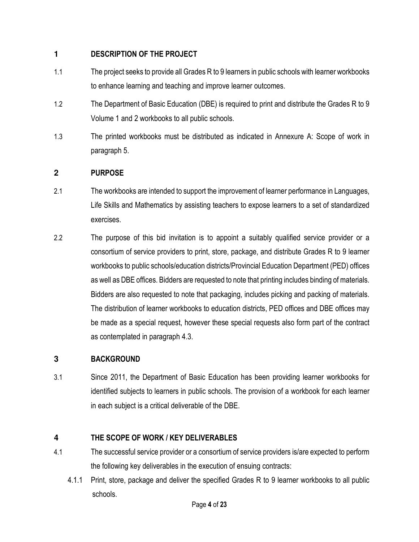## **1 DESCRIPTION OF THE PROJECT**

- 1.1 The project seeks to provide all Grades R to 9 learners in public schools with learner workbooks to enhance learning and teaching and improve learner outcomes.
- 1.2 The Department of Basic Education (DBE) is required to print and distribute the Grades R to 9 Volume 1 and 2 workbooks to all public schools.
- 1.3 The printed workbooks must be distributed as indicated in Annexure A: Scope of work in paragraph 5.

## **2 PURPOSE**

- 2.1 The workbooks are intended to support the improvement of learner performance in Languages, Life Skills and Mathematics by assisting teachers to expose learners to a set of standardized exercises.
- 2.2 The purpose of this bid invitation is to appoint a suitably qualified service provider or a consortium of service providers to print, store, package, and distribute Grades R to 9 learner workbooks to public schools/education districts/Provincial Education Department (PED) offices as well as DBE offices. Bidders are requested to note that printing includes binding of materials. Bidders are also requested to note that packaging, includes picking and packing of materials. The distribution of learner workbooks to education districts, PED offices and DBE offices may be made as a special request, however these special requests also form part of the contract as contemplated in paragraph 4.3.

## **3 BACKGROUND**

3.1 Since 2011, the Department of Basic Education has been providing learner workbooks for identified subjects to learners in public schools. The provision of a workbook for each learner in each subject is a critical deliverable of the DBE.

## **4 THE SCOPE OF WORK / KEY DELIVERABLES**

- 4.1 The successful service provider or a consortium of service providers is/are expected to perform the following key deliverables in the execution of ensuing contracts:
	- 4.1.1 Print, store, package and deliver the specified Grades R to 9 learner workbooks to all public schools.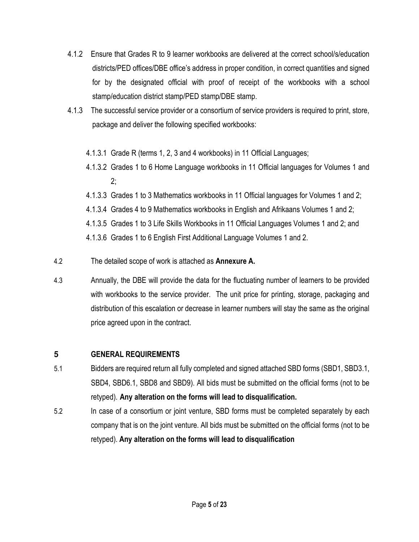- 4.1.2 Ensure that Grades R to 9 learner workbooks are delivered at the correct school/s/education districts/PED offices/DBE office's address in proper condition, in correct quantities and signed for by the designated official with proof of receipt of the workbooks with a school stamp/education district stamp/PED stamp/DBE stamp.
- 4.1.3 The successful service provider or a consortium of service providers is required to print, store, package and deliver the following specified workbooks:
	- 4.1.3.1 Grade R (terms 1, 2, 3 and 4 workbooks) in 11 Official Languages;
	- 4.1.3.2 Grades 1 to 6 Home Language workbooks in 11 Official languages for Volumes 1 and 2;
	- 4.1.3.3 Grades 1 to 3 Mathematics workbooks in 11 Official languages for Volumes 1 and 2;
	- 4.1.3.4 Grades 4 to 9 Mathematics workbooks in English and Afrikaans Volumes 1 and 2;

4.1.3.5 Grades 1 to 3 Life Skills Workbooks in 11 Official Languages Volumes 1 and 2; and

4.1.3.6 Grades 1 to 6 English First Additional Language Volumes 1 and 2.

- 4.2 The detailed scope of work is attached as **Annexure A.**
- 4.3 Annually, the DBE will provide the data for the fluctuating number of learners to be provided with workbooks to the service provider. The unit price for printing, storage, packaging and distribution of this escalation or decrease in learner numbers will stay the same as the original price agreed upon in the contract.

# **5 GENERAL REQUIREMENTS**

- 5.1 Bidders are required return all fully completed and signed attached SBD forms (SBD1, SBD3.1, SBD4, SBD6.1, SBD8 and SBD9). All bids must be submitted on the official forms (not to be retyped). **Any alteration on the forms will lead to disqualification.**
- 5.2 In case of a consortium or joint venture, SBD forms must be completed separately by each company that is on the joint venture. All bids must be submitted on the official forms (not to be retyped). **Any alteration on the forms will lead to disqualification**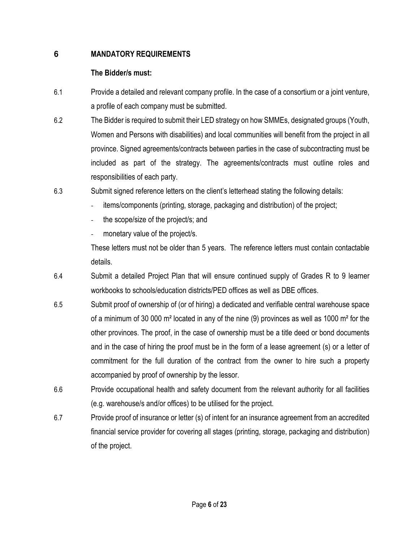## **6 MANDATORY REQUIREMENTS**

# **The Bidder/s must:**

- 6.1 Provide a detailed and relevant company profile. In the case of a consortium or a joint venture, a profile of each company must be submitted.
- 6.2 The Bidder is required to submit their LED strategy on how SMMEs, designated groups (Youth, Women and Persons with disabilities) and local communities will benefit from the project in all province. Signed agreements/contracts between parties in the case of subcontracting must be included as part of the strategy. The agreements/contracts must outline roles and responsibilities of each party.
- 6.3 Submit signed reference letters on the client's letterhead stating the following details:
	- items/components (printing, storage, packaging and distribution) of the project;
	- the scope/size of the project/s; and
	- monetary value of the project/s.

These letters must not be older than 5 years. The reference letters must contain contactable details.

- 6.4 Submit a detailed Project Plan that will ensure continued supply of Grades R to 9 learner workbooks to schools/education districts/PED offices as well as DBE offices.
- 6.5 Submit proof of ownership of (or of hiring) a dedicated and verifiable central warehouse space of a minimum of 30 000 m<sup>2</sup> located in any of the nine (9) provinces as well as 1000 m<sup>2</sup> for the other provinces. The proof, in the case of ownership must be a title deed or bond documents and in the case of hiring the proof must be in the form of a lease agreement (s) or a letter of commitment for the full duration of the contract from the owner to hire such a property accompanied by proof of ownership by the lessor.
- 6.6 Provide occupational health and safety document from the relevant authority for all facilities (e.g. warehouse/s and/or offices) to be utilised for the project.
- 6.7 Provide proof of insurance or letter (s) of intent for an insurance agreement from an accredited financial service provider for covering all stages (printing, storage, packaging and distribution) of the project.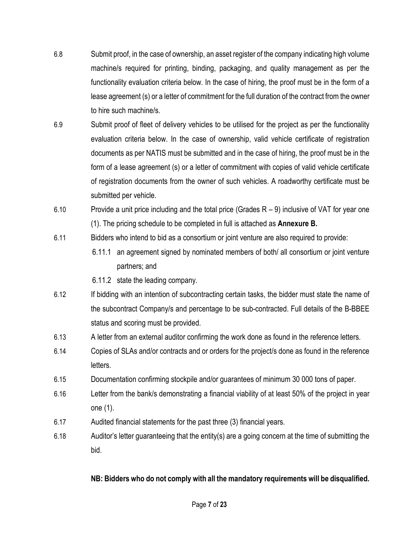- 6.8 Submit proof, in the case of ownership, an asset register of the company indicating high volume machine/s required for printing, binding, packaging, and quality management as per the functionality evaluation criteria below. In the case of hiring, the proof must be in the form of a lease agreement (s) or a letter of commitment for the full duration of the contract from the owner to hire such machine/s.
- 6.9 Submit proof of fleet of delivery vehicles to be utilised for the project as per the functionality evaluation criteria below. In the case of ownership, valid vehicle certificate of registration documents as per NATIS must be submitted and in the case of hiring, the proof must be in the form of a lease agreement (s) or a letter of commitment with copies of valid vehicle certificate of registration documents from the owner of such vehicles. A roadworthy certificate must be submitted per vehicle.
- 6.10 Provide a unit price including and the total price (Grades R 9) inclusive of VAT for year one (1). The pricing schedule to be completed in full is attached as **Annexure B.**
- 6.11 Bidders who intend to bid as a consortium or joint venture are also required to provide:
	- 6.11.1 an agreement signed by nominated members of both/ all consortium or joint venture partners; and
	- 6.11.2 state the leading company.
- 6.12 If bidding with an intention of subcontracting certain tasks, the bidder must state the name of the subcontract Company/s and percentage to be sub-contracted. Full details of the B-BBEE status and scoring must be provided.
- 6.13 A letter from an external auditor confirming the work done as found in the reference letters.
- 6.14 Copies of SLAs and/or contracts and or orders for the project/s done as found in the reference letters.
- 6.15 Documentation confirming stockpile and/or guarantees of minimum 30 000 tons of paper.
- 6.16 Letter from the bank/s demonstrating a financial viability of at least 50% of the project in year one (1).
- 6.17 Audited financial statements for the past three (3) financial years.
- 6.18 Auditor's letter guaranteeing that the entity(s) are a going concern at the time of submitting the bid.

## **NB: Bidders who do not comply with all the mandatory requirements will be disqualified.**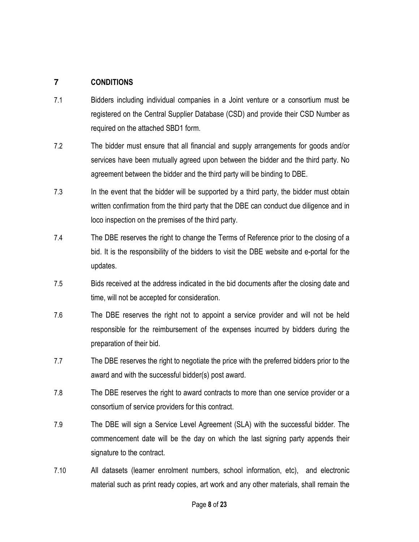## **7 CONDITIONS**

- 7.1 Bidders including individual companies in a Joint venture or a consortium must be registered on the Central Supplier Database (CSD) and provide their CSD Number as required on the attached SBD1 form.
- 7.2 The bidder must ensure that all financial and supply arrangements for goods and/or services have been mutually agreed upon between the bidder and the third party. No agreement between the bidder and the third party will be binding to DBE.
- 7.3 In the event that the bidder will be supported by a third party, the bidder must obtain written confirmation from the third party that the DBE can conduct due diligence and in loco inspection on the premises of the third party.
- 7.4 The DBE reserves the right to change the Terms of Reference prior to the closing of a bid. It is the responsibility of the bidders to visit the DBE website and e-portal for the updates.
- 7.5 Bids received at the address indicated in the bid documents after the closing date and time, will not be accepted for consideration.
- 7.6 The DBE reserves the right not to appoint a service provider and will not be held responsible for the reimbursement of the expenses incurred by bidders during the preparation of their bid.
- 7.7 The DBE reserves the right to negotiate the price with the preferred bidders prior to the award and with the successful bidder(s) post award.
- 7.8 The DBE reserves the right to award contracts to more than one service provider or a consortium of service providers for this contract.
- 7.9 The DBE will sign a Service Level Agreement (SLA) with the successful bidder. The commencement date will be the day on which the last signing party appends their signature to the contract.
- 7.10 All datasets (learner enrolment numbers, school information, etc), and electronic material such as print ready copies, art work and any other materials, shall remain the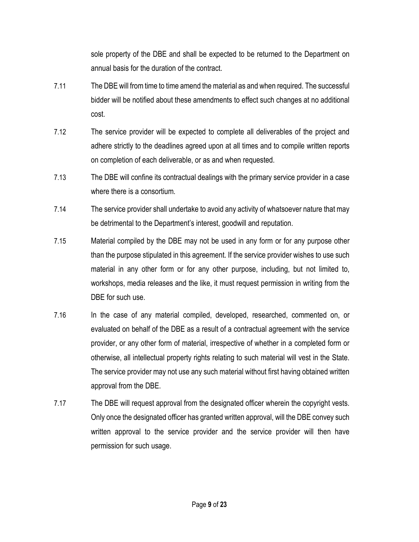sole property of the DBE and shall be expected to be returned to the Department on annual basis for the duration of the contract.

- 7.11 The DBE will from time to time amend the material as and when required. The successful bidder will be notified about these amendments to effect such changes at no additional cost.
- 7.12 The service provider will be expected to complete all deliverables of the project and adhere strictly to the deadlines agreed upon at all times and to compile written reports on completion of each deliverable, or as and when requested.
- 7.13 The DBE will confine its contractual dealings with the primary service provider in a case where there is a consortium.
- 7.14 The service provider shall undertake to avoid any activity of whatsoever nature that may be detrimental to the Department's interest, goodwill and reputation.
- 7.15 Material compiled by the DBE may not be used in any form or for any purpose other than the purpose stipulated in this agreement. If the service provider wishes to use such material in any other form or for any other purpose, including, but not limited to, workshops, media releases and the like, it must request permission in writing from the DBE for such use.
- 7.16 In the case of any material compiled, developed, researched, commented on, or evaluated on behalf of the DBE as a result of a contractual agreement with the service provider, or any other form of material, irrespective of whether in a completed form or otherwise, all intellectual property rights relating to such material will vest in the State. The service provider may not use any such material without first having obtained written approval from the DBE.
- 7.17 The DBE will request approval from the designated officer wherein the copyright vests. Only once the designated officer has granted written approval, will the DBE convey such written approval to the service provider and the service provider will then have permission for such usage.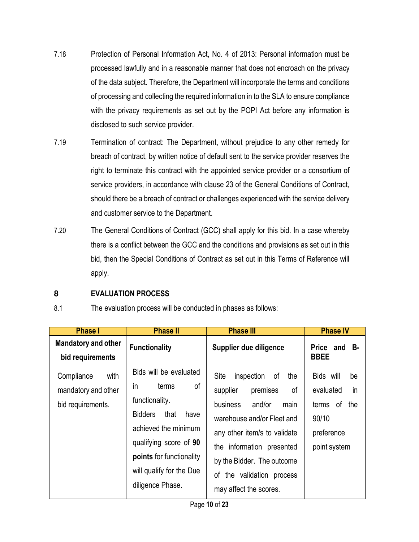- 7.18 Protection of Personal Information Act, No. 4 of 2013: Personal information must be processed lawfully and in a reasonable manner that does not encroach on the privacy of the data subject. Therefore, the Department will incorporate the terms and conditions of processing and collecting the required information in to the SLA to ensure compliance with the privacy requirements as set out by the POPI Act before any information is disclosed to such service provider.
- 7.19 Termination of contract: The Department, without prejudice to any other remedy for breach of contract, by written notice of default sent to the service provider reserves the right to terminate this contract with the appointed service provider or a consortium of service providers, in accordance with clause 23 of the General Conditions of Contract, should there be a breach of contract or challenges experienced with the service delivery and customer service to the Department.
- 7.20 The General Conditions of Contract (GCC) shall apply for this bid. In a case whereby there is a conflict between the GCC and the conditions and provisions as set out in this bid, then the Special Conditions of Contract as set out in this Terms of Reference will apply.

## **8 EVALUATION PROCESS**

| ◡. | The evaluation process will be contabled in pride to do follows. |  |  |  |  |
|----|------------------------------------------------------------------|--|--|--|--|

8.1 The evaluation process will be conducted in phases as follows:

| <b>Phase I</b>                                                 | <b>Phase II</b>                                                                                                                                                                                                                  | <b>Phase III</b>                                                                                                                                                                                                                               | <b>Phase IV</b>                                                                              |
|----------------------------------------------------------------|----------------------------------------------------------------------------------------------------------------------------------------------------------------------------------------------------------------------------------|------------------------------------------------------------------------------------------------------------------------------------------------------------------------------------------------------------------------------------------------|----------------------------------------------------------------------------------------------|
| <b>Mandatory and other</b><br>bid requirements                 | <b>Functionality</b>                                                                                                                                                                                                             | Supplier due diligence                                                                                                                                                                                                                         | <b>B-</b><br>Price and<br><b>BBEE</b>                                                        |
| Compliance<br>with<br>mandatory and other<br>bid requirements. | Bids will be evaluated<br>of<br>terms<br>$\mathsf{I}$<br>functionality.<br>Bidders<br>that<br>have<br>achieved the minimum<br>qualifying score of 90<br>points for functionality<br>will qualify for the Due<br>diligence Phase. | Site<br>inspection of<br>the<br>supplier<br>premises<br>of<br>business<br>and/or<br>main<br>warehouse and/or Fleet and<br>any other item/s to validate<br>the information presented<br>by the Bidder. The outcome<br>of the validation process | Bids will<br>be<br>in<br>evaluated<br>the<br>terms of<br>90/10<br>preference<br>point system |
|                                                                |                                                                                                                                                                                                                                  | may affect the scores.                                                                                                                                                                                                                         |                                                                                              |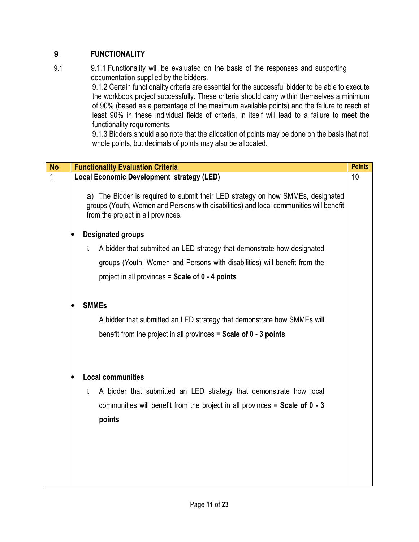# **9 FUNCTIONALITY**

9.1 9.1.1 Functionality will be evaluated on the basis of the responses and supporting documentation supplied by the bidders.

9.1.2 Certain functionality criteria are essential for the successful bidder to be able to execute the workbook project successfully. These criteria should carry within themselves a minimum of 90% (based as a percentage of the maximum available points) and the failure to reach at least 90% in these individual fields of criteria, in itself will lead to a failure to meet the functionality requirements.

9.1.3 Bidders should also note that the allocation of points may be done on the basis that not whole points, but decimals of points may also be allocated.

| <b>No</b> | <b>Functionality Evaluation Criteria</b>                                                                                                                                                                        | <b>Points</b> |
|-----------|-----------------------------------------------------------------------------------------------------------------------------------------------------------------------------------------------------------------|---------------|
| 1         | Local Economic Development strategy (LED)<br>10                                                                                                                                                                 |               |
|           | a) The Bidder is required to submit their LED strategy on how SMMEs, designated<br>groups (Youth, Women and Persons with disabilities) and local communities will benefit<br>from the project in all provinces. |               |
|           | <b>Designated groups</b>                                                                                                                                                                                        |               |
|           | A bidder that submitted an LED strategy that demonstrate how designated<br>i.                                                                                                                                   |               |
|           | groups (Youth, Women and Persons with disabilities) will benefit from the                                                                                                                                       |               |
|           | project in all provinces = $Scale$ of $0 - 4$ points                                                                                                                                                            |               |
|           |                                                                                                                                                                                                                 |               |
|           | <b>SMMEs</b>                                                                                                                                                                                                    |               |
|           | A bidder that submitted an LED strategy that demonstrate how SMMEs will                                                                                                                                         |               |
|           | benefit from the project in all provinces $=$ Scale of 0 $-$ 3 points                                                                                                                                           |               |
|           |                                                                                                                                                                                                                 |               |
|           | <b>Local communities</b>                                                                                                                                                                                        |               |
|           | A bidder that submitted an LED strategy that demonstrate how local<br>i.                                                                                                                                        |               |
|           | communities will benefit from the project in all provinces = Scale of $0 - 3$                                                                                                                                   |               |
|           | points                                                                                                                                                                                                          |               |
|           |                                                                                                                                                                                                                 |               |
|           |                                                                                                                                                                                                                 |               |
|           |                                                                                                                                                                                                                 |               |
|           |                                                                                                                                                                                                                 |               |
|           |                                                                                                                                                                                                                 |               |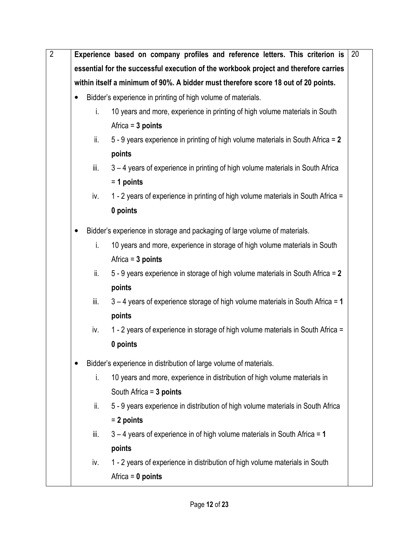| essential for the successful execution of the workbook project and therefore carries<br>within itself a minimum of 90%. A bidder must therefore score 18 out of 20 points.<br>Bidder's experience in printing of high volume of materials.<br>10 years and more, experience in printing of high volume materials in South<br>i.<br>Africa = $3$ points<br>ii.<br>5 - 9 years experience in printing of high volume materials in South Africa = 2<br>points<br>iii.<br>3 - 4 years of experience in printing of high volume materials in South Africa<br>$= 1$ points<br>1 - 2 years of experience in printing of high volume materials in South Africa =<br>iv.<br>0 points<br>Bidder's experience in storage and packaging of large volume of materials.<br>10 years and more, experience in storage of high volume materials in South<br>i.<br>Africa = $3$ points<br>ii.<br>5 - 9 years experience in storage of high volume materials in South Africa = 2<br>points<br>iii.<br>3 – 4 years of experience storage of high volume materials in South Africa = 1<br>points<br>1 - 2 years of experience in storage of high volume materials in South Africa =<br>iv.<br>0 points<br>Bidder's experience in distribution of large volume of materials.<br>10 years and more, experience in distribution of high volume materials in<br>i. |
|-------------------------------------------------------------------------------------------------------------------------------------------------------------------------------------------------------------------------------------------------------------------------------------------------------------------------------------------------------------------------------------------------------------------------------------------------------------------------------------------------------------------------------------------------------------------------------------------------------------------------------------------------------------------------------------------------------------------------------------------------------------------------------------------------------------------------------------------------------------------------------------------------------------------------------------------------------------------------------------------------------------------------------------------------------------------------------------------------------------------------------------------------------------------------------------------------------------------------------------------------------------------------------------------------------------------------------------------|
|                                                                                                                                                                                                                                                                                                                                                                                                                                                                                                                                                                                                                                                                                                                                                                                                                                                                                                                                                                                                                                                                                                                                                                                                                                                                                                                                           |
|                                                                                                                                                                                                                                                                                                                                                                                                                                                                                                                                                                                                                                                                                                                                                                                                                                                                                                                                                                                                                                                                                                                                                                                                                                                                                                                                           |
|                                                                                                                                                                                                                                                                                                                                                                                                                                                                                                                                                                                                                                                                                                                                                                                                                                                                                                                                                                                                                                                                                                                                                                                                                                                                                                                                           |
|                                                                                                                                                                                                                                                                                                                                                                                                                                                                                                                                                                                                                                                                                                                                                                                                                                                                                                                                                                                                                                                                                                                                                                                                                                                                                                                                           |
|                                                                                                                                                                                                                                                                                                                                                                                                                                                                                                                                                                                                                                                                                                                                                                                                                                                                                                                                                                                                                                                                                                                                                                                                                                                                                                                                           |
|                                                                                                                                                                                                                                                                                                                                                                                                                                                                                                                                                                                                                                                                                                                                                                                                                                                                                                                                                                                                                                                                                                                                                                                                                                                                                                                                           |
|                                                                                                                                                                                                                                                                                                                                                                                                                                                                                                                                                                                                                                                                                                                                                                                                                                                                                                                                                                                                                                                                                                                                                                                                                                                                                                                                           |
|                                                                                                                                                                                                                                                                                                                                                                                                                                                                                                                                                                                                                                                                                                                                                                                                                                                                                                                                                                                                                                                                                                                                                                                                                                                                                                                                           |
|                                                                                                                                                                                                                                                                                                                                                                                                                                                                                                                                                                                                                                                                                                                                                                                                                                                                                                                                                                                                                                                                                                                                                                                                                                                                                                                                           |
|                                                                                                                                                                                                                                                                                                                                                                                                                                                                                                                                                                                                                                                                                                                                                                                                                                                                                                                                                                                                                                                                                                                                                                                                                                                                                                                                           |
|                                                                                                                                                                                                                                                                                                                                                                                                                                                                                                                                                                                                                                                                                                                                                                                                                                                                                                                                                                                                                                                                                                                                                                                                                                                                                                                                           |
|                                                                                                                                                                                                                                                                                                                                                                                                                                                                                                                                                                                                                                                                                                                                                                                                                                                                                                                                                                                                                                                                                                                                                                                                                                                                                                                                           |
|                                                                                                                                                                                                                                                                                                                                                                                                                                                                                                                                                                                                                                                                                                                                                                                                                                                                                                                                                                                                                                                                                                                                                                                                                                                                                                                                           |
|                                                                                                                                                                                                                                                                                                                                                                                                                                                                                                                                                                                                                                                                                                                                                                                                                                                                                                                                                                                                                                                                                                                                                                                                                                                                                                                                           |
|                                                                                                                                                                                                                                                                                                                                                                                                                                                                                                                                                                                                                                                                                                                                                                                                                                                                                                                                                                                                                                                                                                                                                                                                                                                                                                                                           |
|                                                                                                                                                                                                                                                                                                                                                                                                                                                                                                                                                                                                                                                                                                                                                                                                                                                                                                                                                                                                                                                                                                                                                                                                                                                                                                                                           |
|                                                                                                                                                                                                                                                                                                                                                                                                                                                                                                                                                                                                                                                                                                                                                                                                                                                                                                                                                                                                                                                                                                                                                                                                                                                                                                                                           |
|                                                                                                                                                                                                                                                                                                                                                                                                                                                                                                                                                                                                                                                                                                                                                                                                                                                                                                                                                                                                                                                                                                                                                                                                                                                                                                                                           |
|                                                                                                                                                                                                                                                                                                                                                                                                                                                                                                                                                                                                                                                                                                                                                                                                                                                                                                                                                                                                                                                                                                                                                                                                                                                                                                                                           |
|                                                                                                                                                                                                                                                                                                                                                                                                                                                                                                                                                                                                                                                                                                                                                                                                                                                                                                                                                                                                                                                                                                                                                                                                                                                                                                                                           |
|                                                                                                                                                                                                                                                                                                                                                                                                                                                                                                                                                                                                                                                                                                                                                                                                                                                                                                                                                                                                                                                                                                                                                                                                                                                                                                                                           |
|                                                                                                                                                                                                                                                                                                                                                                                                                                                                                                                                                                                                                                                                                                                                                                                                                                                                                                                                                                                                                                                                                                                                                                                                                                                                                                                                           |
| South Africa $=$ 3 points                                                                                                                                                                                                                                                                                                                                                                                                                                                                                                                                                                                                                                                                                                                                                                                                                                                                                                                                                                                                                                                                                                                                                                                                                                                                                                                 |
| 5 - 9 years experience in distribution of high volume materials in South Africa<br>ii.                                                                                                                                                                                                                                                                                                                                                                                                                                                                                                                                                                                                                                                                                                                                                                                                                                                                                                                                                                                                                                                                                                                                                                                                                                                    |
| $= 2$ points                                                                                                                                                                                                                                                                                                                                                                                                                                                                                                                                                                                                                                                                                                                                                                                                                                                                                                                                                                                                                                                                                                                                                                                                                                                                                                                              |
| iii.<br>$3 - 4$ years of experience in of high volume materials in South Africa = 1                                                                                                                                                                                                                                                                                                                                                                                                                                                                                                                                                                                                                                                                                                                                                                                                                                                                                                                                                                                                                                                                                                                                                                                                                                                       |
| points                                                                                                                                                                                                                                                                                                                                                                                                                                                                                                                                                                                                                                                                                                                                                                                                                                                                                                                                                                                                                                                                                                                                                                                                                                                                                                                                    |
| 1 - 2 years of experience in distribution of high volume materials in South<br>iv.                                                                                                                                                                                                                                                                                                                                                                                                                                                                                                                                                                                                                                                                                                                                                                                                                                                                                                                                                                                                                                                                                                                                                                                                                                                        |
| Africa = $0$ points                                                                                                                                                                                                                                                                                                                                                                                                                                                                                                                                                                                                                                                                                                                                                                                                                                                                                                                                                                                                                                                                                                                                                                                                                                                                                                                       |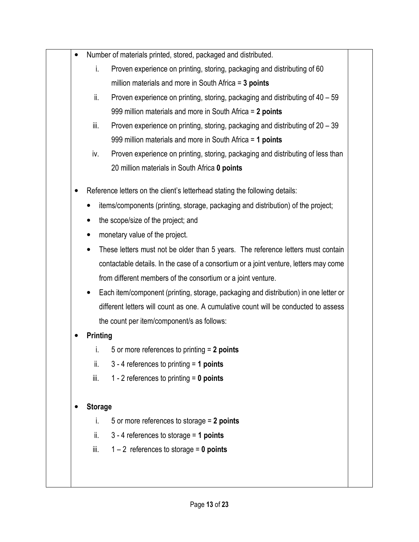| $\bullet$ | Number of materials printed, stored, packaged and distributed.                         |
|-----------|----------------------------------------------------------------------------------------|
|           | i.<br>Proven experience on printing, storing, packaging and distributing of 60         |
|           | million materials and more in South Africa $=$ 3 points                                |
|           | ii.<br>Proven experience on printing, storing, packaging and distributing of 40 – 59   |
|           | 999 million materials and more in South Africa = 2 points                              |
|           | Proven experience on printing, storing, packaging and distributing of 20 – 39<br>iii.  |
|           | 999 million materials and more in South Africa = 1 points                              |
|           | Proven experience on printing, storing, packaging and distributing of less than<br>iv. |
|           | 20 million materials in South Africa 0 points                                          |
|           | Reference letters on the client's letterhead stating the following details:            |
|           | items/components (printing, storage, packaging and distribution) of the project;       |
| $\bullet$ | the scope/size of the project; and                                                     |
|           | monetary value of the project.                                                         |
| $\bullet$ | These letters must not be older than 5 years. The reference letters must contain       |
|           | contactable details. In the case of a consortium or a joint venture, letters may come  |
|           | from different members of the consortium or a joint venture.                           |
|           | Each item/component (printing, storage, packaging and distribution) in one letter or   |
|           | different letters will count as one. A cumulative count will be conducted to assess    |
|           | the count per item/component/s as follows:                                             |
|           | <b>Printing</b>                                                                        |
|           | 5 or more references to printing $= 2$ points<br>T.                                    |
|           | ii.<br>3 - 4 references to printing $=$ 1 points                                       |
|           | iii.<br>1 - 2 references to printing $= 0$ points                                      |
|           | <b>Storage</b>                                                                         |
|           | i.<br>5 or more references to storage $= 2$ points                                     |
|           |                                                                                        |
|           | ii.<br>3 - 4 references to storage = $1$ points                                        |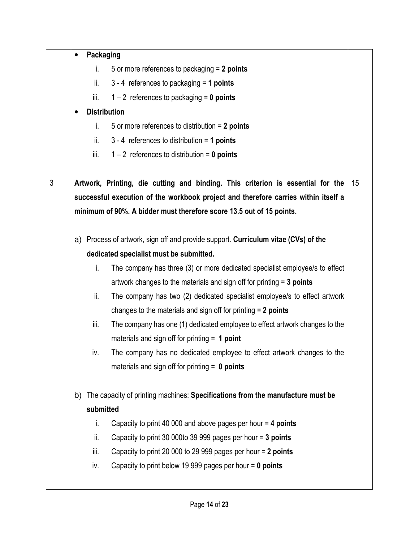|                | Packaging |                                                                                    |    |
|----------------|-----------|------------------------------------------------------------------------------------|----|
|                | i.        | 5 or more references to packaging $= 2$ points                                     |    |
|                | ii.       | $3 - 4$ references to packaging = 1 points                                         |    |
|                | iii.      | $1 - 2$ references to packaging = 0 points                                         |    |
|                |           | <b>Distribution</b>                                                                |    |
|                | i.        | 5 or more references to distribution $= 2$ points                                  |    |
|                | ii.       | $3 - 4$ references to distribution = 1 points                                      |    |
|                | iii.      | $1 - 2$ references to distribution = 0 points                                      |    |
| $\mathfrak{Z}$ |           | Artwork, Printing, die cutting and binding. This criterion is essential for the    | 15 |
|                |           | successful execution of the workbook project and therefore carries within itself a |    |
|                |           | minimum of 90%. A bidder must therefore score 13.5 out of 15 points.               |    |
|                |           |                                                                                    |    |
|                |           | a) Process of artwork, sign off and provide support. Curriculum vitae (CVs) of the |    |
|                |           | dedicated specialist must be submitted.                                            |    |
|                | i.        | The company has three (3) or more dedicated specialist employee/s to effect        |    |
|                |           | artwork changes to the materials and sign off for printing $=$ 3 points            |    |
|                | ii.       | The company has two (2) dedicated specialist employee/s to effect artwork          |    |
|                |           | changes to the materials and sign off for printing $= 2$ points                    |    |
|                | iii.      | The company has one (1) dedicated employee to effect artwork changes to the        |    |
|                |           | materials and sign off for printing $= 1$ point                                    |    |
|                | iv.       | The company has no dedicated employee to effect artwork changes to the             |    |
|                |           | materials and sign off for printing $= 0$ points                                   |    |
|                | b)        | The capacity of printing machines: Specifications from the manufacture must be     |    |
|                | submitted |                                                                                    |    |
|                | i.        | Capacity to print 40 000 and above pages per hour = 4 points                       |    |
|                | ii.       | Capacity to print 30 000to 39 999 pages per hour = 3 points                        |    |
|                | iii.      | Capacity to print 20 000 to 29 999 pages per hour = 2 points                       |    |
|                | iv.       | Capacity to print below 19 999 pages per hour $= 0$ points                         |    |
|                |           |                                                                                    |    |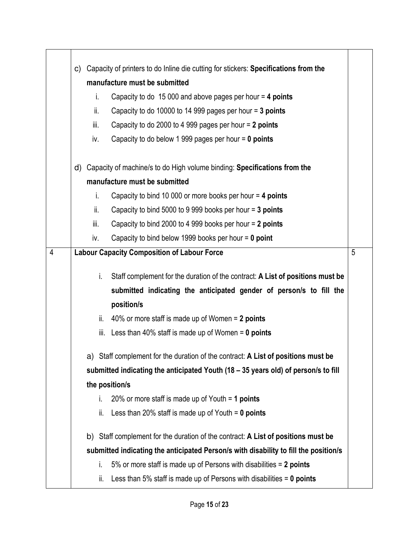|                | Capacity of printers to do Inline die cutting for stickers: Specifications from the<br>C) |      |                                                                                      |   |  |  |  |
|----------------|-------------------------------------------------------------------------------------------|------|--------------------------------------------------------------------------------------|---|--|--|--|
|                | manufacture must be submitted                                                             |      |                                                                                      |   |  |  |  |
|                |                                                                                           | i.   | Capacity to do 15 000 and above pages per hour = 4 points                            |   |  |  |  |
|                |                                                                                           | ii.  | Capacity to do 10000 to 14 999 pages per hour = 3 points                             |   |  |  |  |
|                |                                                                                           | iii. | Capacity to do 2000 to 4 999 pages per hour = 2 points                               |   |  |  |  |
|                |                                                                                           | iv.  | Capacity to do below 1 999 pages per hour $= 0$ points                               |   |  |  |  |
|                | d)                                                                                        |      | Capacity of machine/s to do High volume binding: Specifications from the             |   |  |  |  |
|                |                                                                                           |      | manufacture must be submitted                                                        |   |  |  |  |
|                |                                                                                           | i.   | Capacity to bind 10 000 or more books per hour = 4 points                            |   |  |  |  |
|                |                                                                                           | ii.  | Capacity to bind 5000 to 9 999 books per hour = 3 points                             |   |  |  |  |
|                |                                                                                           | iii. | Capacity to bind 2000 to 4 999 books per hour = 2 points                             |   |  |  |  |
|                |                                                                                           | iv.  | Capacity to bind below 1999 books per hour $= 0$ point                               |   |  |  |  |
| $\overline{4}$ |                                                                                           |      | <b>Labour Capacity Composition of Labour Force</b>                                   | 5 |  |  |  |
|                |                                                                                           | i.   |                                                                                      |   |  |  |  |
|                |                                                                                           |      | Staff complement for the duration of the contract: A List of positions must be       |   |  |  |  |
|                |                                                                                           |      | submitted indicating the anticipated gender of person/s to fill the<br>position/s    |   |  |  |  |
|                |                                                                                           | ii.  | 40% or more staff is made up of Women = 2 points                                     |   |  |  |  |
|                |                                                                                           | iii. | Less than 40% staff is made up of Women $= 0$ points                                 |   |  |  |  |
|                |                                                                                           |      |                                                                                      |   |  |  |  |
|                |                                                                                           |      | a) Staff complement for the duration of the contract: A List of positions must be    |   |  |  |  |
|                |                                                                                           |      | submitted indicating the anticipated Youth (18 – 35 years old) of person/s to fill   |   |  |  |  |
|                |                                                                                           |      | the position/s                                                                       |   |  |  |  |
|                |                                                                                           | i.   | 20% or more staff is made up of Youth $=$ 1 points                                   |   |  |  |  |
|                |                                                                                           | ii.  | Less than 20% staff is made up of Youth $= 0$ points                                 |   |  |  |  |
|                |                                                                                           |      | b) Staff complement for the duration of the contract: A List of positions must be    |   |  |  |  |
|                |                                                                                           |      | submitted indicating the anticipated Person/s with disability to fill the position/s |   |  |  |  |
|                |                                                                                           | i.   | 5% or more staff is made up of Persons with disabilities = 2 points                  |   |  |  |  |
|                |                                                                                           | ii.  | Less than 5% staff is made up of Persons with disabilities $= 0$ points              |   |  |  |  |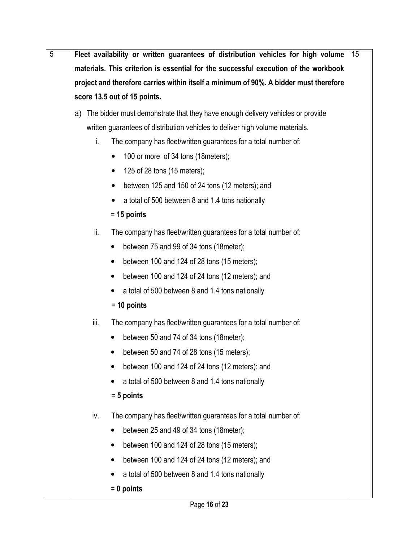| $\overline{5}$ | Fleet availability or written guarantees of distribution vehicles for high volume     | 15 |
|----------------|---------------------------------------------------------------------------------------|----|
|                | materials. This criterion is essential for the successful execution of the workbook   |    |
|                | project and therefore carries within itself a minimum of 90%. A bidder must therefore |    |
|                | score 13.5 out of 15 points.                                                          |    |
|                | a) The bidder must demonstrate that they have enough delivery vehicles or provide     |    |
|                | written guarantees of distribution vehicles to deliver high volume materials.         |    |
|                | i.<br>The company has fleet/written guarantees for a total number of:                 |    |
|                | 100 or more of 34 tons (18 meters);<br>$\bullet$                                      |    |
|                | 125 of 28 tons (15 meters);<br>$\bullet$                                              |    |
|                | between 125 and 150 of 24 tons (12 meters); and                                       |    |
|                | a total of 500 between 8 and 1.4 tons nationally                                      |    |
|                | $= 15$ points                                                                         |    |
|                | ii.<br>The company has fleet/written guarantees for a total number of:                |    |
|                | between 75 and 99 of 34 tons (18 meter);<br>٠                                         |    |
|                | between 100 and 124 of 28 tons $(15$ meters);                                         |    |
|                | between 100 and 124 of 24 tons (12 meters); and                                       |    |
|                | a total of 500 between 8 and 1.4 tons nationally                                      |    |
|                | $= 10$ points                                                                         |    |
|                | iii.<br>The company has fleet/written guarantees for a total number of:               |    |
|                | between 50 and 74 of 34 tons (18 meter);                                              |    |
|                | between 50 and 74 of 28 tons (15 meters);                                             |    |
|                | between 100 and 124 of 24 tons (12 meters): and                                       |    |
|                | a total of 500 between 8 and 1.4 tons nationally                                      |    |
|                | $= 5$ points                                                                          |    |
|                | iv.<br>The company has fleet/written guarantees for a total number of:                |    |
|                | between 25 and 49 of 34 tons (18 meter);                                              |    |
|                | between 100 and 124 of 28 tons (15 meters);                                           |    |
|                | between 100 and 124 of 24 tons (12 meters); and                                       |    |
|                | a total of 500 between 8 and 1.4 tons nationally                                      |    |
|                | $= 0$ points                                                                          |    |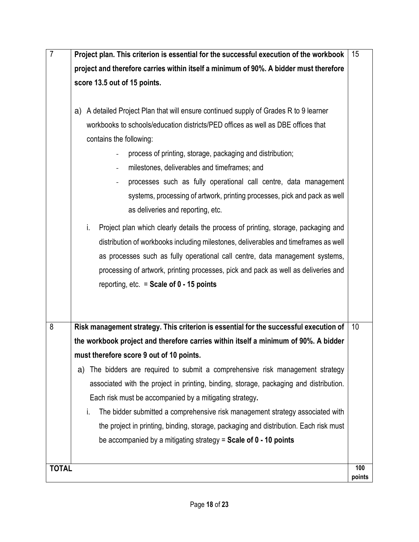| $\overline{7}$ | Project plan. This criterion is essential for the successful execution of the workbook   | 15     |  |  |  |  |  |  |
|----------------|------------------------------------------------------------------------------------------|--------|--|--|--|--|--|--|
|                | project and therefore carries within itself a minimum of 90%. A bidder must therefore    |        |  |  |  |  |  |  |
|                | score 13.5 out of 15 points.                                                             |        |  |  |  |  |  |  |
|                |                                                                                          |        |  |  |  |  |  |  |
|                | A detailed Project Plan that will ensure continued supply of Grades R to 9 learner<br>a) |        |  |  |  |  |  |  |
|                | workbooks to schools/education districts/PED offices as well as DBE offices that         |        |  |  |  |  |  |  |
|                | contains the following:                                                                  |        |  |  |  |  |  |  |
|                | process of printing, storage, packaging and distribution;                                |        |  |  |  |  |  |  |
|                | milestones, deliverables and timeframes; and<br>$\overline{\phantom{0}}$                 |        |  |  |  |  |  |  |
|                | processes such as fully operational call centre, data management                         |        |  |  |  |  |  |  |
|                | systems, processing of artwork, printing processes, pick and pack as well                |        |  |  |  |  |  |  |
|                | as deliveries and reporting, etc.                                                        |        |  |  |  |  |  |  |
|                | Project plan which clearly details the process of printing, storage, packaging and<br>i. |        |  |  |  |  |  |  |
|                | distribution of workbooks including milestones, deliverables and timeframes as well      |        |  |  |  |  |  |  |
|                | as processes such as fully operational call centre, data management systems,             |        |  |  |  |  |  |  |
|                | processing of artwork, printing processes, pick and pack as well as deliveries and       |        |  |  |  |  |  |  |
|                | reporting, etc. $=$ Scale of 0 - 15 points                                               |        |  |  |  |  |  |  |
|                |                                                                                          |        |  |  |  |  |  |  |
|                |                                                                                          |        |  |  |  |  |  |  |
| 8              | Risk management strategy. This criterion is essential for the successful execution of    | 10     |  |  |  |  |  |  |
|                | the workbook project and therefore carries within itself a minimum of 90%. A bidder      |        |  |  |  |  |  |  |
|                | must therefore score 9 out of 10 points.                                                 |        |  |  |  |  |  |  |
|                | The bidders are required to submit a comprehensive risk management strategy<br>a)        |        |  |  |  |  |  |  |
|                | associated with the project in printing, binding, storage, packaging and distribution.   |        |  |  |  |  |  |  |
|                | Each risk must be accompanied by a mitigating strategy.                                  |        |  |  |  |  |  |  |
|                | The bidder submitted a comprehensive risk management strategy associated with<br>i.      |        |  |  |  |  |  |  |
|                | the project in printing, binding, storage, packaging and distribution. Each risk must    |        |  |  |  |  |  |  |
|                | be accompanied by a mitigating strategy = $Scale$ of $0 - 10$ points                     |        |  |  |  |  |  |  |
|                |                                                                                          |        |  |  |  |  |  |  |
| <b>TOTAL</b>   |                                                                                          | 100    |  |  |  |  |  |  |
|                |                                                                                          | points |  |  |  |  |  |  |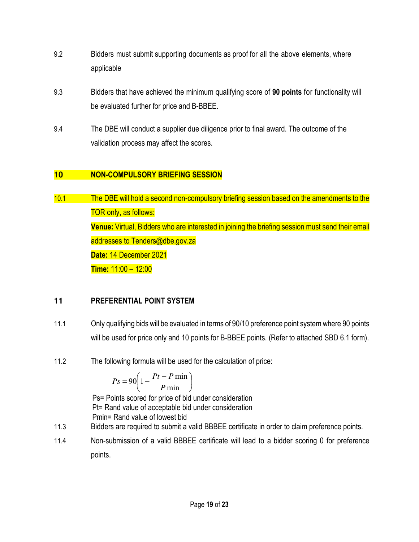- 9.2 Bidders must submit supporting documents as proof for all the above elements, where applicable
- 9.3 Bidders that have achieved the minimum qualifying score of **90 points** for functionality will be evaluated further for price and B-BBEE.
- 9.4 The DBE will conduct a supplier due diligence prior to final award. The outcome of the validation process may affect the scores.

# **10 NON-COMPULSORY BRIEFING SESSION**

10.1 The DBE will hold a second non-compulsory briefing session based on the amendments to the TOR only, as follows: **Venue:** Virtual, Bidders who are interested in joining the briefing session must send their email addresses to Tenders@dbe.gov.za **Date:** 14 December 2021 **Time:** 11:00 – 12:00

# **11 PREFERENTIAL POINT SYSTEM**

- 11.1 Only qualifying bids will be evaluated in terms of 90/10 preference point system where 90 points will be used for price only and 10 points for B-BBEE points. (Refer to attached SBD 6.1 form).
- 11.2 The following formula will be used for the calculation of price:

$$
Ps = 90 \left( 1 - \frac{Pt - P \min}{P \min} \right)
$$

Ps= Points scored for price of bid under consideration Pt= Rand value of acceptable bid under consideration Pmin= Rand value of lowest bid

- 11.3 Bidders are required to submit a valid BBBEE certificate in order to claim preference points.
- 11.4 Non-submission of a valid BBBEE certificate will lead to a bidder scoring 0 for preference points.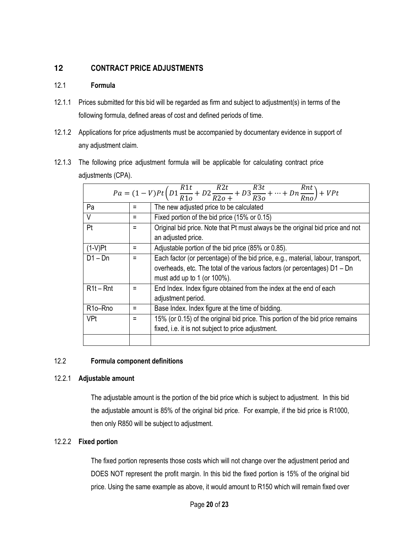## **12 CONTRACT PRICE ADJUSTMENTS**

#### 12.1 **Formula**

- 12.1.1 Prices submitted for this bid will be regarded as firm and subject to adjustment(s) in terms of the following formula, defined areas of cost and defined periods of time.
- 12.1.2 Applications for price adjustments must be accompanied by documentary evidence in support of any adjustment claim.
- 12.1.3 The following price adjustment formula will be applicable for calculating contract price adjustments (CPA).

| $Pa = (1 - V)Pt\left(D1\frac{R1t}{R1o} + D2\frac{R2t}{R2o +} + D3\frac{R3t}{R3o} + \dots + Dn\frac{Rnt}{Rno}\right) + VPt$ |          |                                                                                  |  |  |  |
|----------------------------------------------------------------------------------------------------------------------------|----------|----------------------------------------------------------------------------------|--|--|--|
| Pa                                                                                                                         |          | The new adjusted price to be calculated                                          |  |  |  |
| $\vee$                                                                                                                     | $\equiv$ | Fixed portion of the bid price (15% or 0.15)                                     |  |  |  |
| Pt                                                                                                                         |          | Original bid price. Note that Pt must always be the original bid price and not   |  |  |  |
|                                                                                                                            |          | an adjusted price.                                                               |  |  |  |
| $(1-V)$ Pt                                                                                                                 |          | Adjustable portion of the bid price (85% or 0.85).                               |  |  |  |
| $D1 - Dn$                                                                                                                  |          | Each factor (or percentage) of the bid price, e.g., material, labour, transport, |  |  |  |
|                                                                                                                            |          | overheads, etc. The total of the various factors (or percentages) D1 - Dn        |  |  |  |
|                                                                                                                            |          | must add up to 1 (or $100\%$ ).                                                  |  |  |  |
| $R1t - Rnt$                                                                                                                |          | End Index. Index figure obtained from the index at the end of each               |  |  |  |
|                                                                                                                            |          | adjustment period.                                                               |  |  |  |
| R <sub>10</sub> -R <sub>no</sub>                                                                                           |          | Base Index. Index figure at the time of bidding.                                 |  |  |  |
| VPt                                                                                                                        |          | 15% (or 0.15) of the original bid price. This portion of the bid price remains   |  |  |  |
|                                                                                                                            |          | fixed, i.e. it is not subject to price adjustment.                               |  |  |  |
|                                                                                                                            |          |                                                                                  |  |  |  |

#### 12.2 **Formula component definitions**

#### 12.2.1 **Adjustable amount**

The adjustable amount is the portion of the bid price which is subject to adjustment. In this bid the adjustable amount is 85% of the original bid price. For example, if the bid price is R1000, then only R850 will be subject to adjustment.

#### 12.2.2 **Fixed portion**

The fixed portion represents those costs which will not change over the adjustment period and DOES NOT represent the profit margin. In this bid the fixed portion is 15% of the original bid price. Using the same example as above, it would amount to R150 which will remain fixed over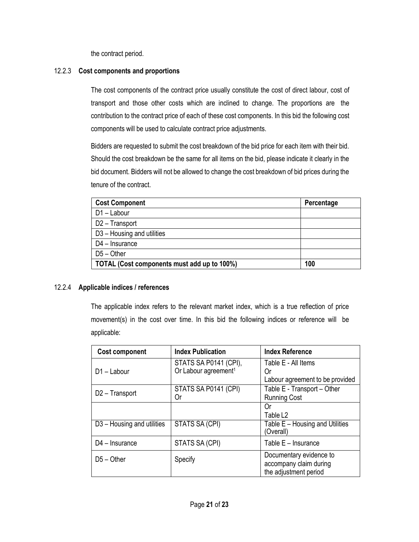the contract period.

#### 12.2.3 **Cost components and proportions**

The cost components of the contract price usually constitute the cost of direct labour, cost of transport and those other costs which are inclined to change. The proportions are the contribution to the contract price of each of these cost components. In this bid the following cost components will be used to calculate contract price adjustments.

Bidders are requested to submit the cost breakdown of the bid price for each item with their bid. Should the cost breakdown be the same for all items on the bid, please indicate it clearly in the bid document. Bidders will not be allowed to change the cost breakdown of bid prices during the tenure of the contract.

| <b>Cost Component</b>                       | Percentage |
|---------------------------------------------|------------|
| $D1 -$ Labour                               |            |
| D2 - Transport                              |            |
| D3 - Housing and utilities                  |            |
| $D4$ – Insurance                            |            |
| $D5 - Other$                                |            |
| TOTAL (Cost components must add up to 100%) | 100        |

#### 12.2.4 **Applicable indices / references**

The applicable index refers to the relevant market index, which is a true reflection of price movement(s) in the cost over time. In this bid the following indices or reference will be applicable:

| <b>Cost component</b>                  | <b>Index Publication</b>                                  | <b>Index Reference</b>                                                     |
|----------------------------------------|-----------------------------------------------------------|----------------------------------------------------------------------------|
| D1-Labour                              | STATS SA P0141 (CPI),<br>Or Labour agreement <sup>1</sup> | Table E - All Items<br>Or                                                  |
|                                        | STATS SA P0141 (CPI)                                      | Labour agreement to be provided<br>Table E - Transport - Other             |
| D <sub>2</sub> - Transport             | Or                                                        | <b>Running Cost</b>                                                        |
|                                        |                                                           | Or<br>Table L2                                                             |
| D <sub>3</sub> – Housing and utilities | <b>STATS SA (CPI)</b>                                     | Table E - Housing and Utilities<br>(Overall)                               |
| $D4$ – Insurance                       | STATS SA (CPI)                                            | Table $E -$ Insurance                                                      |
| $D5 - Other$                           | Specify                                                   | Documentary evidence to<br>accompany claim during<br>the adjustment period |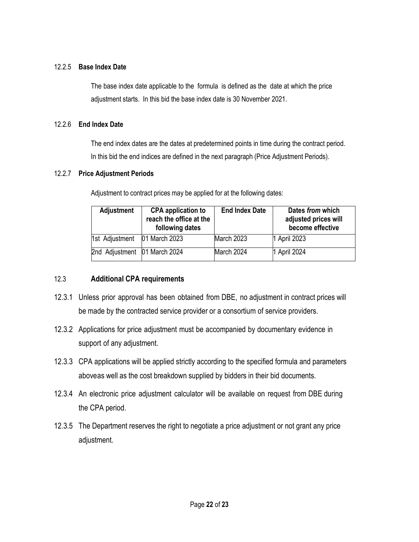#### 12.2.5 **Base Index Date**

The base index date applicable to the formula is defined as the date at which the price adjustment starts. In this bid the base index date is 30 November 2021.

#### 12.2.6 **End Index Date**

The end index dates are the dates at predetermined points in time during the contract period. In this bid the end indices are defined in the next paragraph (Price Adjustment Periods).

#### 12.2.7 **Price Adjustment Periods**

Adjustment to contract prices may be applied for at the following dates:

| <b>Adjustment</b>            | <b>CPA application to</b><br>reach the office at the<br>following dates | <b>End Index Date</b> | Dates from which<br>adjusted prices will<br>become effective |
|------------------------------|-------------------------------------------------------------------------|-----------------------|--------------------------------------------------------------|
| 1st Adjustment               | 01 March 2023                                                           | March 2023            | 1 April 2023                                                 |
| 2nd Adjustment 01 March 2024 |                                                                         | March 2024            | 1 April 2024                                                 |

#### 12.3 **Additional CPA requirements**

- 12.3.1 Unless prior approval has been obtained from DBE, no adjustment in contract prices will be made by the contracted service provider or a consortium of service providers.
- 12.3.2 Applications for price adjustment must be accompanied by documentary evidence in support of any adjustment.
- 12.3.3 CPA applications will be applied strictly according to the specified formula and parameters above as well as the cost breakdown supplied by bidders in their bid documents.
- 12.3.4 An electronic price adjustment calculator will be available on request from DBE during the CPA period.
- 12.3.5 The Department reserves the right to negotiate a price adjustment or not grant any price adjustment.